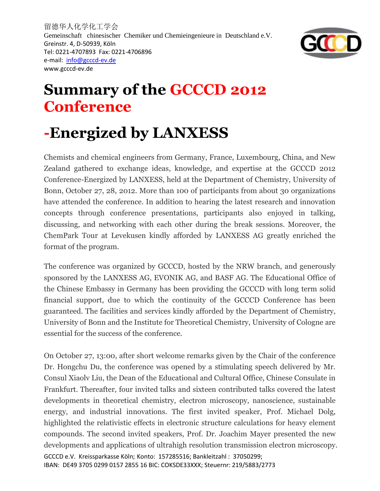留德华人化学化工学会 Gemeinschaft chinesischer Chemiker und Chemieingenieure in Deutschland e.V. Greinstr. 4, D-50939, Köln Tel: 0221-4707893 Fax: 0221-4706896 e-mail: [info@gcccd-ev.de](mailto:info@gcccd-ev.de) www.gcccd-ev.de



## **Summary of the GCCCD 2012 Conference**

## **-Energized by LANXESS**

Chemists and chemical engineers from Germany, France, Luxembourg, China, and New Zealand gathered to exchange ideas, knowledge, and expertise at the GCCCD 2012 Conference-Energized by LANXESS, held at the Department of Chemistry, University of Bonn, October 27, 28, 2012. More than 100 of participants from about 30 organizations have attended the conference. In addition to hearing the latest research and innovation concepts through conference presentations, participants also enjoyed in talking, discussing, and networking with each other during the break sessions. Moreover, the ChemPark Tour at Levekusen kindly afforded by LANXESS AG greatly enriched the format of the program.

The conference was organized by GCCCD, hosted by the NRW branch, and generously sponsored by the LANXESS AG, EVONIK AG, and BASF AG. The Educational Office of the Chinese Embassy in Germany has been providing the GCCCD with long term solid financial support, due to which the continuity of the GCCCD Conference has been guaranteed. The facilities and services kindly afforded by the Department of Chemistry, University of Bonn and the Institute for Theoretical Chemistry, University of Cologne are essential for the success of the conference.

On October 27, 13:00, after short welcome remarks given by the Chair of the conference Dr. Hongchu Du, the conference was opened by a stimulating speech delivered by Mr. Consul Xiaolv Liu, the Dean of the Educational and Cultural Office, Chinese Consulate in Frankfurt. Thereafter, four invited talks and sixteen contributed talks covered the latest developments in theoretical chemistry, electron microscopy, nanoscience, sustainable energy, and industrial innovations. The first invited speaker, Prof. Michael Dolg, highlighted the relativistic effects in electronic structure calculations for heavy element compounds. The second invited speakers, Prof. Dr. Joachim Mayer presented the new developments and applications of ultrahigh resolution transmission electron microscopy.

GCCCD e.V. Kreissparkasse Köln; Konto: 157285516; Bankleitzahl : 37050299; IBAN: DE49 3705 0299 0157 2855 16 BIC: COKSDE33XXX; Steuernr: 219/5883/2773